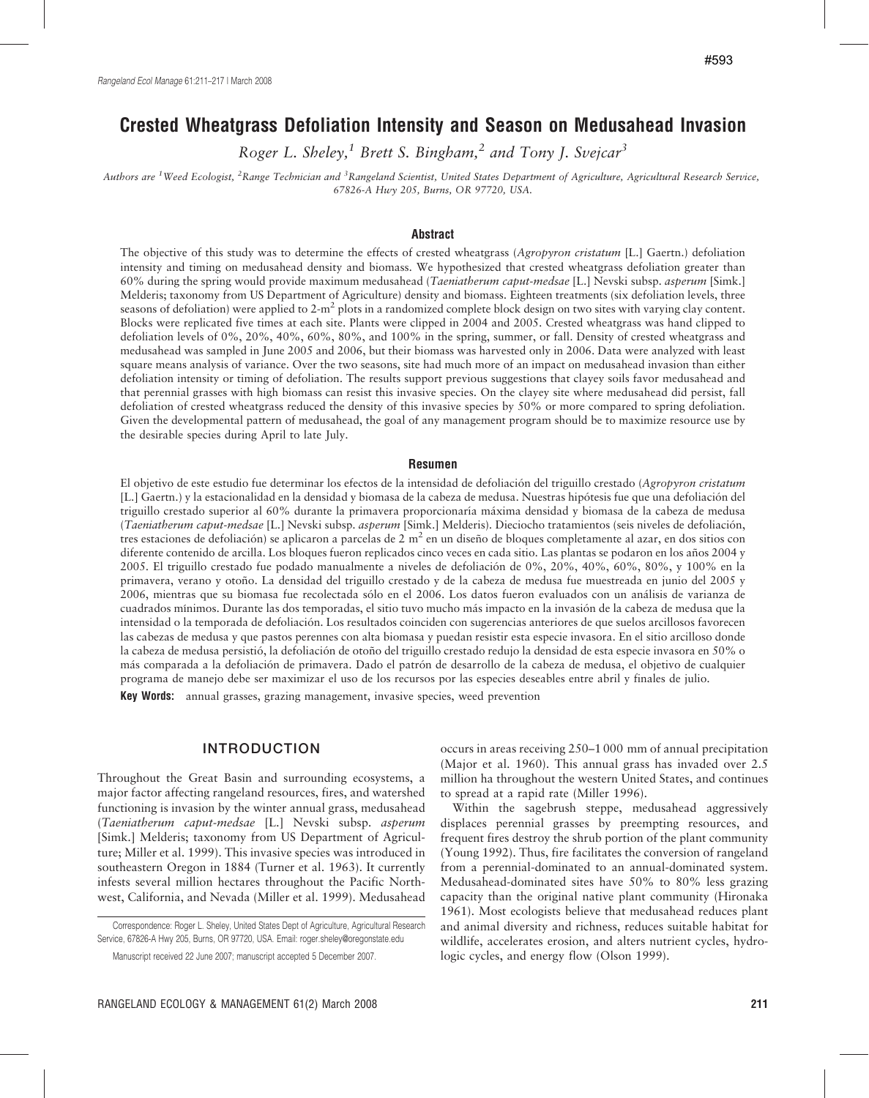# Crested Wheatgrass Defoliation Intensity and Season on Medusahead Invasion

Roger L. Sheley,<sup>1</sup> Brett S. Bingham,<sup>2</sup> and Tony J. Svejcar<sup>3</sup>

Authors are <sup>1</sup>Weed Ecologist, <sup>2</sup>Range Technician and <sup>3</sup>Rangeland Scientist, United States Department of Agriculture, Agricultural Research Service, 67826-A Hwy 205, Burns, OR 97720, USA.

#### Abstract

The objective of this study was to determine the effects of crested wheatgrass (Agropyron cristatum [L.] Gaertn.) defoliation intensity and timing on medusahead density and biomass. We hypothesized that crested wheatgrass defoliation greater than 60% during the spring would provide maximum medusahead (Taeniatherum caput-medsae [L.] Nevski subsp. asperum [Simk.] Melderis; taxonomy from US Department of Agriculture) density and biomass. Eighteen treatments (six defoliation levels, three seasons of defoliation) were applied to  $2-m^2$  plots in a randomized complete block design on two sites with varying clay content. Blocks were replicated five times at each site. Plants were clipped in 2004 and 2005. Crested wheatgrass was hand clipped to defoliation levels of 0%, 20%, 40%, 60%, 80%, and 100% in the spring, summer, or fall. Density of crested wheatgrass and medusahead was sampled in June 2005 and 2006, but their biomass was harvested only in 2006. Data were analyzed with least square means analysis of variance. Over the two seasons, site had much more of an impact on medusahead invasion than either defoliation intensity or timing of defoliation. The results support previous suggestions that clayey soils favor medusahead and that perennial grasses with high biomass can resist this invasive species. On the clayey site where medusahead did persist, fall defoliation of crested wheatgrass reduced the density of this invasive species by 50% or more compared to spring defoliation. Given the developmental pattern of medusahead, the goal of any management program should be to maximize resource use by the desirable species during April to late July.

#### Resumen

El objetivo de este estudio fue determinar los efectos de la intensidad de defoliación del triguillo crestado (Agropyron cristatum [L.] Gaertn.) y la estacionalidad en la densidad y biomasa de la cabeza de medusa. Nuestras hipótesis fue que una defoliación del triguillo crestado superior al 60% durante la primavera proporcionaría máxima densidad y biomasa de la cabeza de medusa (Taeniatherum caput-medsae [L.] Nevski subsp. asperum [Simk.] Melderis). Dieciocho tratamientos (seis niveles de defoliación, tres estaciones de defoliación) se aplicaron a parcelas de 2 m<sup>2</sup> en un diseño de bloques completamente al azar, en dos sitios con diferente contenido de arcilla. Los bloques fueron replicados cinco veces en cada sitio. Las plantas se podaron en los años 2004 y 2005. El triguillo crestado fue podado manualmente a niveles de defoliación de 0%, 20%, 40%, 60%, 80%, y 100% en la primavera, verano y otoño. La densidad del triguillo crestado y de la cabeza de medusa fue muestreada en junio del 2005 y 2006, mientras que su biomasa fue recolectada sólo en el 2006. Los datos fueron evaluados con un análisis de varianza de cuadrados mínimos. Durante las dos temporadas, el sitio tuvo mucho más impacto en la invasión de la cabeza de medusa que la intensidad o la temporada de defoliación. Los resultados coinciden con sugerencias anteriores de que suelos arcillosos favorecen las cabezas de medusa y que pastos perennes con alta biomasa y puedan resistir esta especie invasora. En el sitio arcilloso donde la cabeza de medusa persistió, la defoliación de otoño del triguillo crestado redujo la densidad de esta especie invasora en 50% o más comparada a la defoliación de primavera. Dado el patrón de desarrollo de la cabeza de medusa, el objetivo de cualquier programa de manejo debe ser maximizar el uso de los recursos por las especies deseables entre abril y finales de julio.

Key Words: annual grasses, grazing management, invasive species, weed prevention

## INTRODUCTION

Throughout the Great Basin and surrounding ecosystems, a major factor affecting rangeland resources, fires, and watershed functioning is invasion by the winter annual grass, medusahead (Taeniatherum caput-medsae [L.] Nevski subsp. asperum [Simk.] Melderis; taxonomy from US Department of Agriculture; Miller et al. 1999). This invasive species was introduced in southeastern Oregon in 1884 (Turner et al. 1963). It currently infests several million hectares throughout the Pacific Northwest, California, and Nevada (Miller et al. 1999). Medusahead

Correspondence: Roger L. Sheley, United States Dept of Agriculture, Agricultural Research Service, 67826-A Hwy 205, Burns, OR 97720, USA. Email: roger.sheley@oregonstate.edu

occurs in areas receiving 250–1 000 mm of annual precipitation (Major et al. 1960). This annual grass has invaded over 2.5 million ha throughout the western United States, and continues to spread at a rapid rate (Miller 1996).

Within the sagebrush steppe, medusahead aggressively displaces perennial grasses by preempting resources, and frequent fires destroy the shrub portion of the plant community (Young 1992). Thus, fire facilitates the conversion of rangeland from a perennial-dominated to an annual-dominated system. Medusahead-dominated sites have 50% to 80% less grazing capacity than the original native plant community (Hironaka 1961). Most ecologists believe that medusahead reduces plant and animal diversity and richness, reduces suitable habitat for wildlife, accelerates erosion, and alters nutrient cycles, hydrologic cycles, and energy flow (Olson 1999).

Manuscript received 22 June 2007; manuscript accepted 5 December 2007.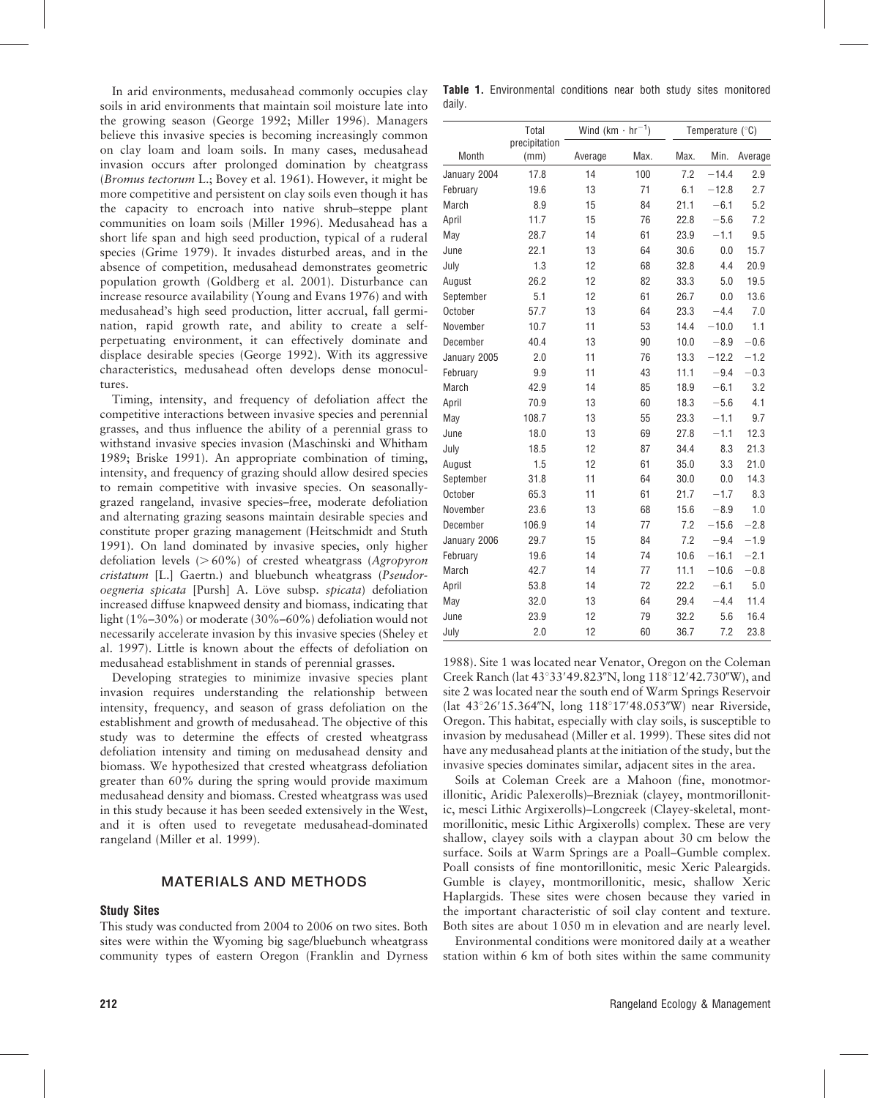In arid environments, medusahead commonly occupies clay soils in arid environments that maintain soil moisture late into the growing season (George 1992; Miller 1996). Managers believe this invasive species is becoming increasingly common on clay loam and loam soils. In many cases, medusahead invasion occurs after prolonged domination by cheatgrass (Bromus tectorum L.; Bovey et al. 1961). However, it might be more competitive and persistent on clay soils even though it has the capacity to encroach into native shrub–steppe plant communities on loam soils (Miller 1996). Medusahead has a short life span and high seed production, typical of a ruderal species (Grime 1979). It invades disturbed areas, and in the absence of competition, medusahead demonstrates geometric population growth (Goldberg et al. 2001). Disturbance can increase resource availability (Young and Evans 1976) and with medusahead's high seed production, litter accrual, fall germination, rapid growth rate, and ability to create a selfperpetuating environment, it can effectively dominate and displace desirable species (George 1992). With its aggressive characteristics, medusahead often develops dense monocultures.

Timing, intensity, and frequency of defoliation affect the competitive interactions between invasive species and perennial grasses, and thus influence the ability of a perennial grass to withstand invasive species invasion (Maschinski and Whitham 1989; Briske 1991). An appropriate combination of timing, intensity, and frequency of grazing should allow desired species to remain competitive with invasive species. On seasonallygrazed rangeland, invasive species–free, moderate defoliation and alternating grazing seasons maintain desirable species and constitute proper grazing management (Heitschmidt and Stuth 1991). On land dominated by invasive species, only higher defoliation levels  $(> 60\%)$  of crested wheatgrass (Agropyron cristatum [L.] Gaertn.) and bluebunch wheatgrass (Pseudoroegneria spicata [Pursh] A. Löve subsp. spicata) defoliation increased diffuse knapweed density and biomass, indicating that light (1%–30%) or moderate (30%–60%) defoliation would not necessarily accelerate invasion by this invasive species (Sheley et al. 1997). Little is known about the effects of defoliation on medusahead establishment in stands of perennial grasses.

Developing strategies to minimize invasive species plant invasion requires understanding the relationship between intensity, frequency, and season of grass defoliation on the establishment and growth of medusahead. The objective of this study was to determine the effects of crested wheatgrass defoliation intensity and timing on medusahead density and biomass. We hypothesized that crested wheatgrass defoliation greater than 60% during the spring would provide maximum medusahead density and biomass. Crested wheatgrass was used in this study because it has been seeded extensively in the West, and it is often used to revegetate medusahead-dominated rangeland (Miller et al. 1999).

## MATERIALS AND METHODS

# Study Sites

This study was conducted from 2004 to 2006 on two sites. Both sites were within the Wyoming big sage/bluebunch wheatgrass community types of eastern Oregon (Franklin and Dyrness

daily.

|              | Total                 | Wind $(km \cdot hr^{-1})$ |      | Temperature (°C) |         |         |
|--------------|-----------------------|---------------------------|------|------------------|---------|---------|
| Month        | precipitation<br>(mm) | Average                   | Max. | Max.             | Min.    | Average |
| January 2004 | 17.8                  | 14                        | 100  | 7.2              | $-14.4$ | 2.9     |
| February     | 19.6                  | 13                        | 71   | 6.1              | $-12.8$ | 2.7     |
| March        | 8.9                   | 15                        | 84   | 21.1             | $-6.1$  | 5.2     |
| April        | 11.7                  | 15                        | 76   | 22.8             | $-5.6$  | 7.2     |
| May          | 28.7                  | 14                        | 61   | 23.9             | $-1.1$  | 9.5     |
| June         | 22.1                  | 13                        | 64   | 30.6             | 0.0     | 15.7    |
| July         | 1.3                   | 12                        | 68   | 32.8             | 4.4     | 20.9    |
| August       | 26.2                  | 12                        | 82   | 33.3             | 5.0     | 19.5    |
| September    | 5.1                   | 12                        | 61   | 26.7             | 0.0     | 13.6    |
| October      | 57.7                  | 13                        | 64   | 23.3             | $-4.4$  | 7.0     |
| November     | 10.7                  | 11                        | 53   | 14.4             | $-10.0$ | 1.1     |
| December     | 40.4                  | 13                        | 90   | 10.0             | $-8.9$  | $-0.6$  |
| January 2005 | 2.0                   | 11                        | 76   | 13.3             | $-12.2$ | $-1.2$  |
| February     | 9.9                   | 11                        | 43   | 11.1             | $-9.4$  | $-0.3$  |
| March        | 42.9                  | 14                        | 85   | 18.9             | $-6.1$  | 3.2     |
| April        | 70.9                  | 13                        | 60   | 18.3             | $-5.6$  | 4.1     |
| May          | 108.7                 | 13                        | 55   | 23.3             | $-1.1$  | 9.7     |
| June         | 18.0                  | 13                        | 69   | 27.8             | $-1.1$  | 12.3    |
| July         | 18.5                  | 12                        | 87   | 34.4             | 8.3     | 21.3    |
| August       | 1.5                   | 12                        | 61   | 35.0             | 3.3     | 21.0    |
| September    | 31.8                  | 11                        | 64   | 30.0             | 0.0     | 14.3    |
| October      | 65.3                  | 11                        | 61   | 21.7             | $-1.7$  | 8.3     |
| November     | 23.6                  | 13                        | 68   | 15.6             | $-8.9$  | 1.0     |
| December     | 106.9                 | 14                        | 77   | 7.2              | $-15.6$ | $-2.8$  |
| January 2006 | 29.7                  | 15                        | 84   | 7.2              | $-9.4$  | $-1.9$  |
| February     | 19.6                  | 14                        | 74   | 10.6             | $-16.1$ | $-2.1$  |
| March        | 42.7                  | 14                        | 77   | 11.1             | $-10.6$ | $-0.8$  |
| April        | 53.8                  | 14                        | 72   | 22.2             | $-6.1$  | 5.0     |
| May          | 32.0                  | 13                        | 64   | 29.4             | $-4.4$  | 11.4    |
| June         | 23.9                  | 12                        | 79   | 32.2             | 5.6     | 16.4    |
| July         | 2.0                   | 12                        | 60   | 36.7             | 7.2     | 23.8    |

Table 1. Environmental conditions near both study sites monitored

1988). Site 1 was located near Venator, Oregon on the Coleman Creek Ranch (lat  $43^{\circ}33'49.823''N$ , long  $118^{\circ}12'42.730''W$ ), and site 2 was located near the south end of Warm Springs Reservoir (lat  $43^{\circ}26'15.364''N$ , long  $118^{\circ}17'48.053''W$ ) near Riverside, Oregon. This habitat, especially with clay soils, is susceptible to invasion by medusahead (Miller et al. 1999). These sites did not have any medusahead plants at the initiation of the study, but the invasive species dominates similar, adjacent sites in the area.

Soils at Coleman Creek are a Mahoon (fine, monotmorillonitic, Aridic Palexerolls)–Brezniak (clayey, montmorillonitic, mesci Lithic Argixerolls)–Longcreek (Clayey-skeletal, montmorillonitic, mesic Lithic Argixerolls) complex. These are very shallow, clayey soils with a claypan about 30 cm below the surface. Soils at Warm Springs are a Poall–Gumble complex. Poall consists of fine montorillonitic, mesic Xeric Paleargids. Gumble is clayey, montmorillonitic, mesic, shallow Xeric Haplargids. These sites were chosen because they varied in the important characteristic of soil clay content and texture. Both sites are about 1 050 m in elevation and are nearly level.

Environmental conditions were monitored daily at a weather station within 6 km of both sites within the same community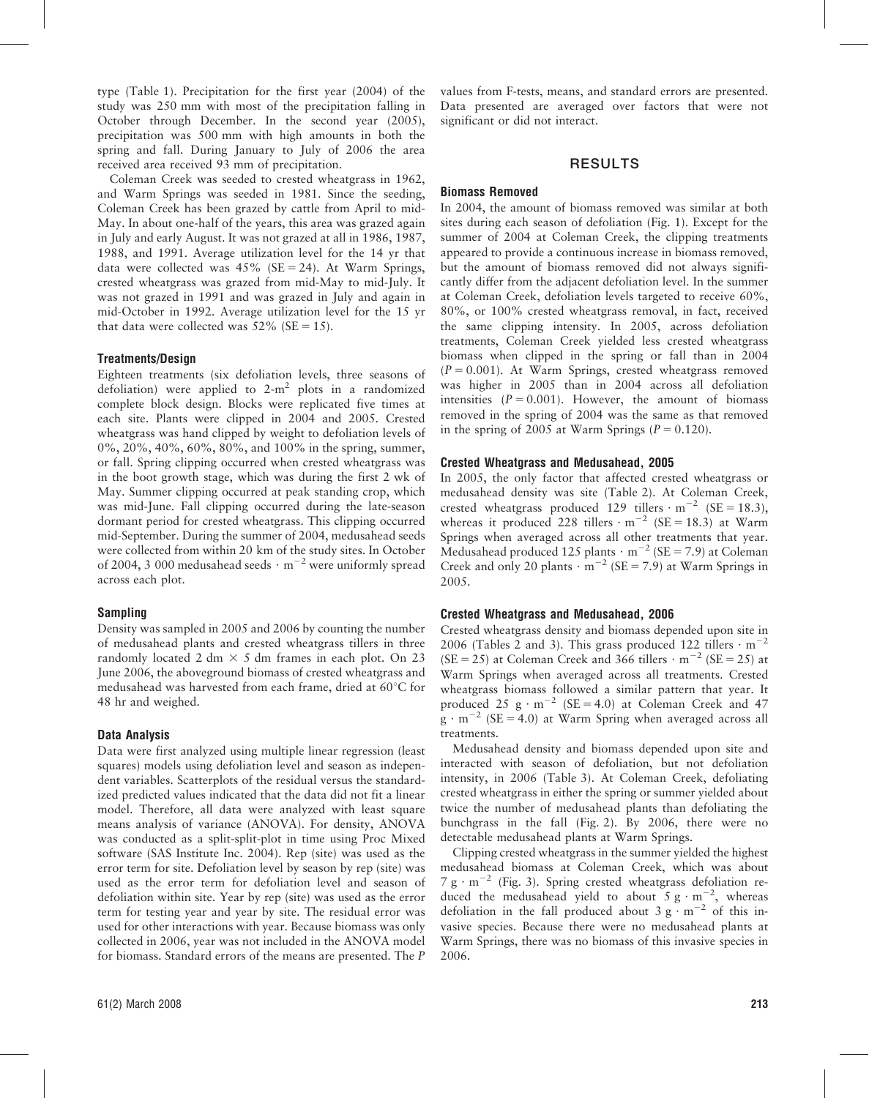type (Table 1). Precipitation for the first year (2004) of the study was 250 mm with most of the precipitation falling in October through December. In the second year (2005), precipitation was 500 mm with high amounts in both the spring and fall. During January to July of 2006 the area received area received 93 mm of precipitation.

Coleman Creek was seeded to crested wheatgrass in 1962, and Warm Springs was seeded in 1981. Since the seeding, Coleman Creek has been grazed by cattle from April to mid-May. In about one-half of the years, this area was grazed again in July and early August. It was not grazed at all in 1986, 1987, 1988, and 1991. Average utilization level for the 14 yr that data were collected was  $45\%$  (SE = 24). At Warm Springs, crested wheatgrass was grazed from mid-May to mid-July. It was not grazed in 1991 and was grazed in July and again in mid-October in 1992. Average utilization level for the 15 yr that data were collected was  $52\%$  (SE = 15).

#### Treatments/Design

Eighteen treatments (six defoliation levels, three seasons of defoliation) were applied to  $2-m^2$  plots in a randomized complete block design. Blocks were replicated five times at each site. Plants were clipped in 2004 and 2005. Crested wheatgrass was hand clipped by weight to defoliation levels of 0%, 20%, 40%, 60%, 80%, and 100% in the spring, summer, or fall. Spring clipping occurred when crested wheatgrass was in the boot growth stage, which was during the first 2 wk of May. Summer clipping occurred at peak standing crop, which was mid-June. Fall clipping occurred during the late-season dormant period for crested wheatgrass. This clipping occurred mid-September. During the summer of 2004, medusahead seeds were collected from within 20 km of the study sites. In October of 2004, 3 000 medusahead seeds  $\cdot$  m<sup>-2</sup> were uniformly spread across each plot.

#### Sampling

Density was sampled in 2005 and 2006 by counting the number of medusahead plants and crested wheatgrass tillers in three randomly located 2 dm  $\times$  5 dm frames in each plot. On 23 June 2006, the aboveground biomass of crested wheatgrass and medusahead was harvested from each frame, dried at  $60^{\circ}$ C for 48 hr and weighed.

#### Data Analysis

Data were first analyzed using multiple linear regression (least squares) models using defoliation level and season as independent variables. Scatterplots of the residual versus the standardized predicted values indicated that the data did not fit a linear model. Therefore, all data were analyzed with least square means analysis of variance (ANOVA). For density, ANOVA was conducted as a split-split-plot in time using Proc Mixed software (SAS Institute Inc. 2004). Rep (site) was used as the error term for site. Defoliation level by season by rep (site) was used as the error term for defoliation level and season of defoliation within site. Year by rep (site) was used as the error term for testing year and year by site. The residual error was used for other interactions with year. Because biomass was only collected in 2006, year was not included in the ANOVA model for biomass. Standard errors of the means are presented. The P values from F-tests, means, and standard errors are presented. Data presented are averaged over factors that were not significant or did not interact.

# RESULTS

#### Biomass Removed

In 2004, the amount of biomass removed was similar at both sites during each season of defoliation (Fig. 1). Except for the summer of 2004 at Coleman Creek, the clipping treatments appeared to provide a continuous increase in biomass removed, but the amount of biomass removed did not always significantly differ from the adjacent defoliation level. In the summer at Coleman Creek, defoliation levels targeted to receive 60%, 80%, or 100% crested wheatgrass removal, in fact, received the same clipping intensity. In 2005, across defoliation treatments, Coleman Creek yielded less crested wheatgrass biomass when clipped in the spring or fall than in 2004  $(P = 0.001)$ . At Warm Springs, crested wheatgrass removed was higher in 2005 than in 2004 across all defoliation intensities  $(P = 0.001)$ . However, the amount of biomass removed in the spring of 2004 was the same as that removed in the spring of 2005 at Warm Springs ( $P = 0.120$ ).

#### Crested Wheatgrass and Medusahead, 2005

In 2005, the only factor that affected crested wheatgrass or medusahead density was site (Table 2). At Coleman Creek, crested wheatgrass produced 129 tillers  $\cdot$  m<sup>-2</sup> (SE = 18.3), whereas it produced 228 tillers  $\cdot$  m<sup>-2</sup> (SE = 18.3) at Warm Springs when averaged across all other treatments that year. Medusahead produced 125 plants  $\cdot$  m<sup>-2</sup> (SE = 7.9) at Coleman Creek and only 20 plants  $\cdot$  m<sup>-2</sup> (SE = 7.9) at Warm Springs in 2005.

#### Crested Wheatgrass and Medusahead, 2006

Crested wheatgrass density and biomass depended upon site in 2006 (Tables 2 and 3). This grass produced 122 tillers  $\cdot$  m<sup>-2</sup> (SE = 25) at Coleman Creek and 366 tillers  $\cdot$  m<sup>-2</sup> (SE = 25) at Warm Springs when averaged across all treatments. Crested wheatgrass biomass followed a similar pattern that year. It produced 25 g  $\cdot$  m<sup>-2</sup> (SE = 4.0) at Coleman Creek and 47  $g \cdot m^{-2}$  (SE = 4.0) at Warm Spring when averaged across all treatments.

Medusahead density and biomass depended upon site and interacted with season of defoliation, but not defoliation intensity, in 2006 (Table 3). At Coleman Creek, defoliating crested wheatgrass in either the spring or summer yielded about twice the number of medusahead plants than defoliating the bunchgrass in the fall (Fig. 2). By 2006, there were no detectable medusahead plants at Warm Springs.

Clipping crested wheatgrass in the summer yielded the highest medusahead biomass at Coleman Creek, which was about 7 g  $\cdot$  m<sup>-2</sup> (Fig. 3). Spring crested wheatgrass defoliation reduced the medusahead yield to about  $5 \text{ g} \cdot \text{m}^{-2}$ , whereas defoliation in the fall produced about  $3 \text{ g} \cdot \text{m}^{-2}$  of this invasive species. Because there were no medusahead plants at Warm Springs, there was no biomass of this invasive species in 2006.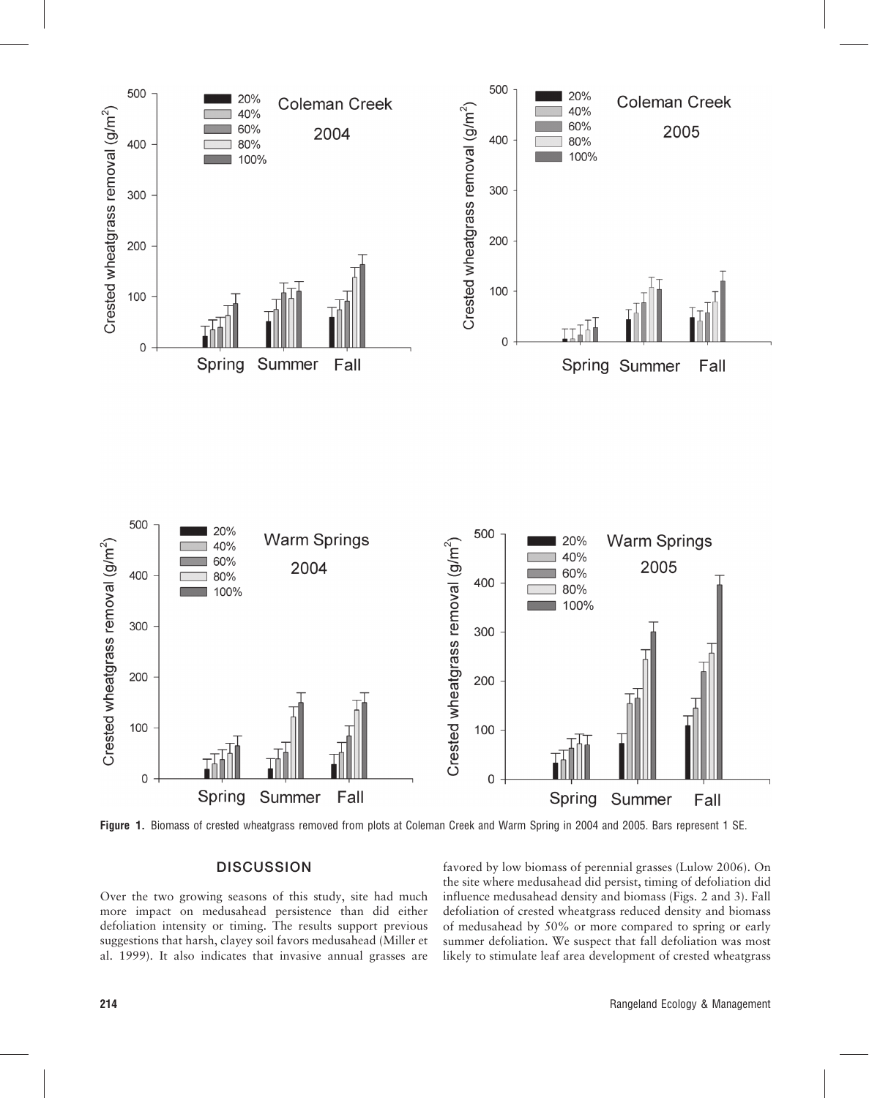



Figure 1. Biomass of crested wheatgrass removed from plots at Coleman Creek and Warm Spring in 2004 and 2005. Bars represent 1 SE.

### **DISCUSSION**

Over the two growing seasons of this study, site had much more impact on medusahead persistence than did either defoliation intensity or timing. The results support previous suggestions that harsh, clayey soil favors medusahead (Miller et al. 1999). It also indicates that invasive annual grasses are favored by low biomass of perennial grasses (Lulow 2006). On the site where medusahead did persist, timing of defoliation did influence medusahead density and biomass (Figs. 2 and 3). Fall defoliation of crested wheatgrass reduced density and biomass of medusahead by 50% or more compared to spring or early summer defoliation. We suspect that fall defoliation was most likely to stimulate leaf area development of crested wheatgrass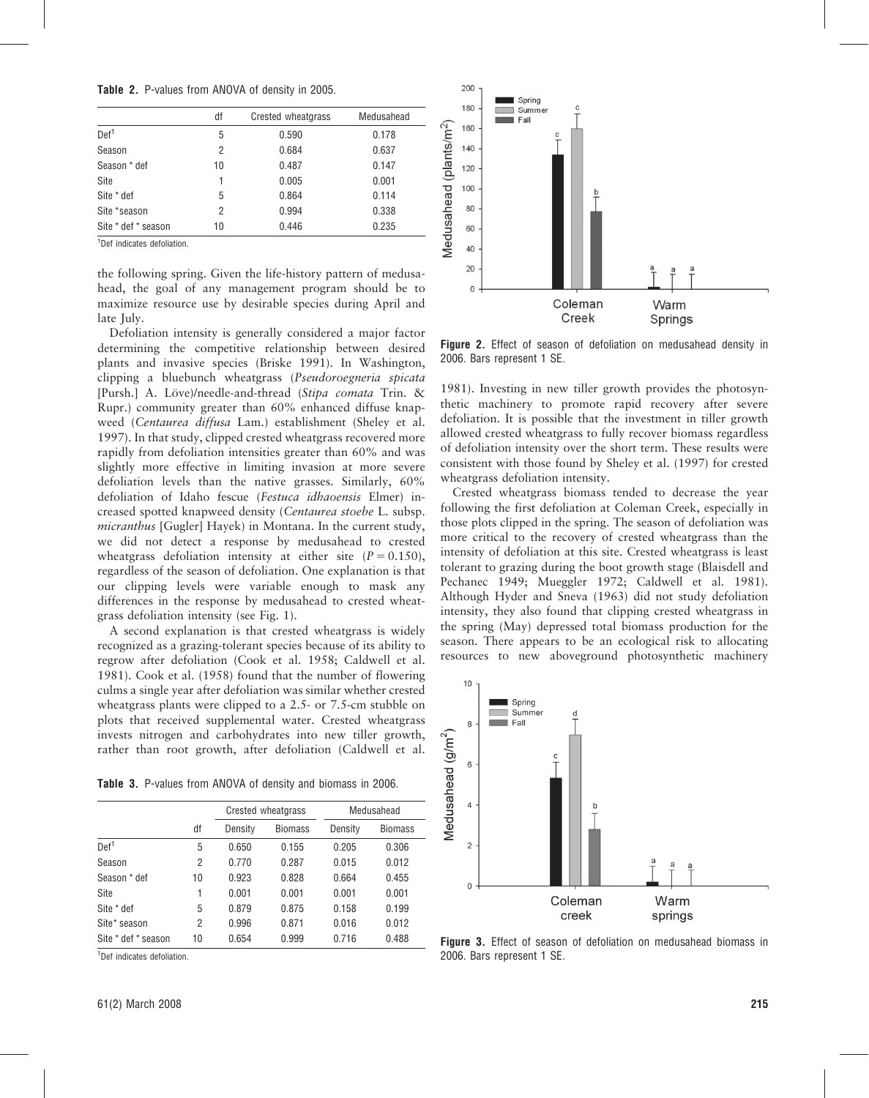Table 2. P-values from ANOVA of density in 2005.

|                     | df | Crested wheatgrass | Medusahead |
|---------------------|----|--------------------|------------|
| Def <sup>1</sup>    | 5  | 0.590              | 0.178      |
| Season              | 2  | 0.684              | 0.637      |
| Season * def        | 10 | 0.487              | 0.147      |
| Site                | 1  | 0.005              | 0.001      |
| Site * def          | 5  | 0.864              | 0.114      |
| Site *season        | 2  | 0.994              | 0.338      |
| Site * def * season | 10 | 0.446              | 0.235      |

1 Def indicates defoliation.

the following spring. Given the life-history pattern of medusahead, the goal of any management program should be to maximize resource use by desirable species during April and late July.

Defoliation intensity is generally considered a major factor determining the competitive relationship between desired plants and invasive species (Briske 1991). In Washington, clipping a bluebunch wheatgrass (Pseudoroegneria spicata [Pursh.] A. Löve)/needle-and-thread (Stipa comata Trin. & Rupr.) community greater than 60% enhanced diffuse knapweed (Centaurea diffusa Lam.) establishment (Sheley et al. 1997). In that study, clipped crested wheatgrass recovered more rapidly from defoliation intensities greater than 60% and was slightly more effective in limiting invasion at more severe defoliation levels than the native grasses. Similarly, 60% defoliation of Idaho fescue (Festuca idhaoensis Elmer) increased spotted knapweed density (Centaurea stoebe L. subsp. micranthus [Gugler] Hayek) in Montana. In the current study, we did not detect a response by medusahead to crested wheatgrass defoliation intensity at either site  $(P = 0.150)$ , regardless of the season of defoliation. One explanation is that our clipping levels were variable enough to mask any differences in the response by medusahead to crested wheatgrass defoliation intensity (see Fig. 1).

A second explanation is that crested wheatgrass is widely recognized as a grazing-tolerant species because of its ability to regrow after defoliation (Cook et al. 1958; Caldwell et al. 1981). Cook et al. (1958) found that the number of flowering culms a single year after defoliation was similar whether crested wheatgrass plants were clipped to a 2.5- or 7.5-cm stubble on plots that received supplemental water. Crested wheatgrass invests nitrogen and carbohydrates into new tiller growth, rather than root growth, after defoliation (Caldwell et al.

Table 3. P-values from ANOVA of density and biomass in 2006.

|                     |    | Crested wheatgrass |                | Medusahead |         |  |
|---------------------|----|--------------------|----------------|------------|---------|--|
|                     | df | Density            | <b>Biomass</b> | Density    | Biomass |  |
| Def <sup>1</sup>    | 5  | 0.650              | 0.155          | 0.205      | 0.306   |  |
| Season              | 2  | 0.770              | 0.287          | 0.015      | 0.012   |  |
| Season * def        | 10 | 0.923              | 0.828          | 0.664      | 0.455   |  |
| Site                |    | 0.001              | 0.001          | 0.001      | 0.001   |  |
| Site * def          | 5  | 0.879              | 0.875          | 0.158      | 0.199   |  |
| Site* season        | 2  | 0.996              | 0.871          | 0.016      | 0.012   |  |
| Site * def * season | 10 | 0.654              | 0.999          | 0.716      | 0.488   |  |

<sup>1</sup>Def indicates defoliation.



Figure 2. Effect of season of defoliation on medusahead density in 2006. Bars represent 1 SE.

1981). Investing in new tiller growth provides the photosynthetic machinery to promote rapid recovery after severe defoliation. It is possible that the investment in tiller growth allowed crested wheatgrass to fully recover biomass regardless of defoliation intensity over the short term. These results were consistent with those found by Sheley et al. (1997) for crested wheatgrass defoliation intensity.

Crested wheatgrass biomass tended to decrease the year following the first defoliation at Coleman Creek, especially in those plots clipped in the spring. The season of defoliation was more critical to the recovery of crested wheatgrass than the intensity of defoliation at this site. Crested wheatgrass is least tolerant to grazing during the boot growth stage (Blaisdell and Pechanec 1949; Mueggler 1972; Caldwell et al. 1981). Although Hyder and Sneva (1963) did not study defoliation intensity, they also found that clipping crested wheatgrass in the spring (May) depressed total biomass production for the season. There appears to be an ecological risk to allocating resources to new aboveground photosynthetic machinery



Figure 3. Effect of season of defoliation on medusahead biomass in 2006. Bars represent 1 SE.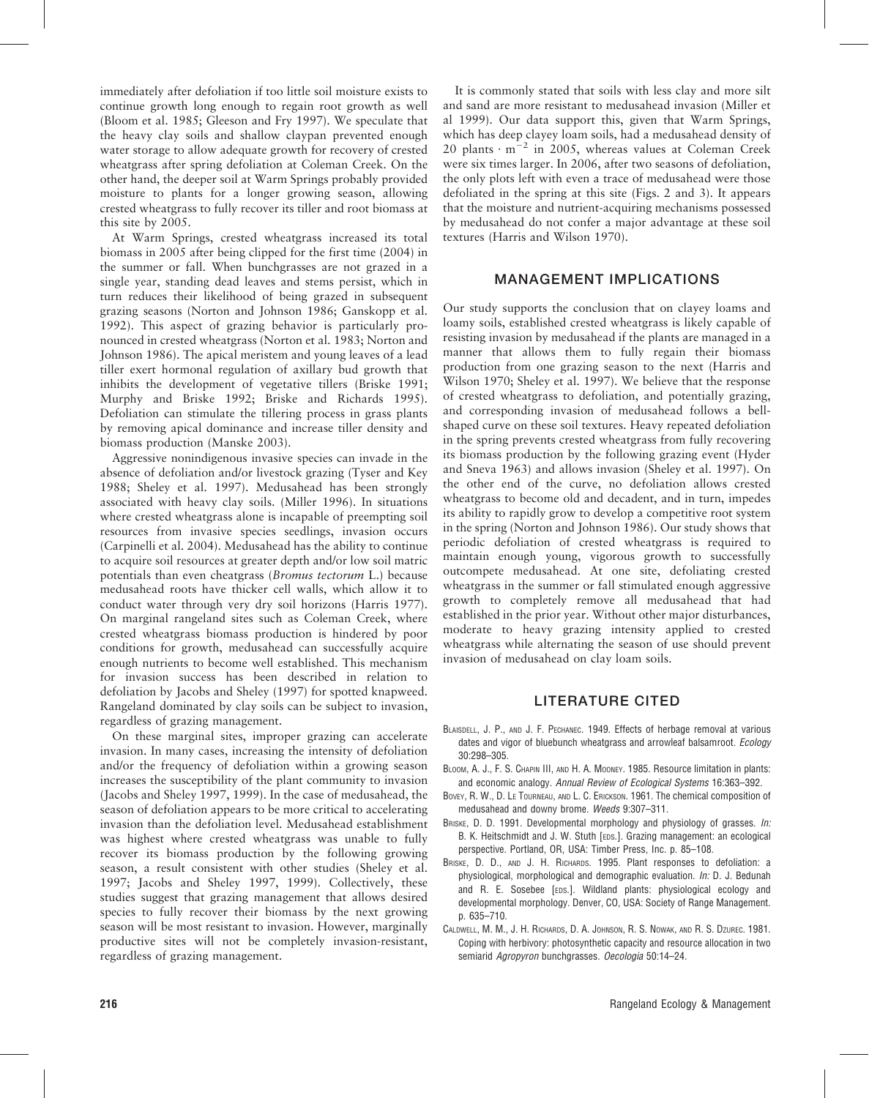immediately after defoliation if too little soil moisture exists to continue growth long enough to regain root growth as well (Bloom et al. 1985; Gleeson and Fry 1997). We speculate that the heavy clay soils and shallow claypan prevented enough water storage to allow adequate growth for recovery of crested wheatgrass after spring defoliation at Coleman Creek. On the other hand, the deeper soil at Warm Springs probably provided moisture to plants for a longer growing season, allowing crested wheatgrass to fully recover its tiller and root biomass at this site by 2005.

At Warm Springs, crested wheatgrass increased its total biomass in 2005 after being clipped for the first time (2004) in the summer or fall. When bunchgrasses are not grazed in a single year, standing dead leaves and stems persist, which in turn reduces their likelihood of being grazed in subsequent grazing seasons (Norton and Johnson 1986; Ganskopp et al. 1992). This aspect of grazing behavior is particularly pronounced in crested wheatgrass (Norton et al. 1983; Norton and Johnson 1986). The apical meristem and young leaves of a lead tiller exert hormonal regulation of axillary bud growth that inhibits the development of vegetative tillers (Briske 1991; Murphy and Briske 1992; Briske and Richards 1995). Defoliation can stimulate the tillering process in grass plants by removing apical dominance and increase tiller density and biomass production (Manske 2003).

Aggressive nonindigenous invasive species can invade in the absence of defoliation and/or livestock grazing (Tyser and Key 1988; Sheley et al. 1997). Medusahead has been strongly associated with heavy clay soils. (Miller 1996). In situations where crested wheatgrass alone is incapable of preempting soil resources from invasive species seedlings, invasion occurs (Carpinelli et al. 2004). Medusahead has the ability to continue to acquire soil resources at greater depth and/or low soil matric potentials than even cheatgrass (Bromus tectorum L.) because medusahead roots have thicker cell walls, which allow it to conduct water through very dry soil horizons (Harris 1977). On marginal rangeland sites such as Coleman Creek, where crested wheatgrass biomass production is hindered by poor conditions for growth, medusahead can successfully acquire enough nutrients to become well established. This mechanism for invasion success has been described in relation to defoliation by Jacobs and Sheley (1997) for spotted knapweed. Rangeland dominated by clay soils can be subject to invasion, regardless of grazing management.

On these marginal sites, improper grazing can accelerate invasion. In many cases, increasing the intensity of defoliation and/or the frequency of defoliation within a growing season increases the susceptibility of the plant community to invasion (Jacobs and Sheley 1997, 1999). In the case of medusahead, the season of defoliation appears to be more critical to accelerating invasion than the defoliation level. Medusahead establishment was highest where crested wheatgrass was unable to fully recover its biomass production by the following growing season, a result consistent with other studies (Sheley et al. 1997; Jacobs and Sheley 1997, 1999). Collectively, these studies suggest that grazing management that allows desired species to fully recover their biomass by the next growing season will be most resistant to invasion. However, marginally productive sites will not be completely invasion-resistant, regardless of grazing management.

It is commonly stated that soils with less clay and more silt and sand are more resistant to medusahead invasion (Miller et al 1999). Our data support this, given that Warm Springs, which has deep clayey loam soils, had a medusahead density of 20 plants  $\cdot$  m<sup>-2</sup> in 2005, whereas values at Coleman Creek were six times larger. In 2006, after two seasons of defoliation, the only plots left with even a trace of medusahead were those defoliated in the spring at this site (Figs. 2 and 3). It appears that the moisture and nutrient-acquiring mechanisms possessed by medusahead do not confer a major advantage at these soil textures (Harris and Wilson 1970).

# MANAGEMENT IMPLICATIONS

Our study supports the conclusion that on clayey loams and loamy soils, established crested wheatgrass is likely capable of resisting invasion by medusahead if the plants are managed in a manner that allows them to fully regain their biomass production from one grazing season to the next (Harris and Wilson 1970; Sheley et al. 1997). We believe that the response of crested wheatgrass to defoliation, and potentially grazing, and corresponding invasion of medusahead follows a bellshaped curve on these soil textures. Heavy repeated defoliation in the spring prevents crested wheatgrass from fully recovering its biomass production by the following grazing event (Hyder and Sneva 1963) and allows invasion (Sheley et al. 1997). On the other end of the curve, no defoliation allows crested wheatgrass to become old and decadent, and in turn, impedes its ability to rapidly grow to develop a competitive root system in the spring (Norton and Johnson 1986). Our study shows that periodic defoliation of crested wheatgrass is required to maintain enough young, vigorous growth to successfully outcompete medusahead. At one site, defoliating crested wheatgrass in the summer or fall stimulated enough aggressive growth to completely remove all medusahead that had established in the prior year. Without other major disturbances, moderate to heavy grazing intensity applied to crested wheatgrass while alternating the season of use should prevent invasion of medusahead on clay loam soils.

# LITERATURE CITED

- BLAISDELL, J. P., AND J. F. PECHANEC. 1949. Effects of herbage removal at various dates and vigor of bluebunch wheatgrass and arrowleaf balsamroot. Ecology 30:298–305.
- BLOOM, A. J., F. S. CHAPIN III, AND H. A. MOONEY. 1985. Resource limitation in plants: and economic analogy. Annual Review of Ecological Systems 16:363–392.
- BOVEY, R. W., D. LE TOURNEAU, AND L. C. ERICKSON. 1961. The chemical composition of medusahead and downy brome. Weeds 9:307–311.
- BRISKE, D. D. 1991. Developmental morphology and physiology of grasses. In: B. K. Heitschmidt and J. W. Stuth [EDS.]. Grazing management: an ecological perspective. Portland, OR, USA: Timber Press, Inc. p. 85–108.
- BRISKE, D. D., AND J. H. RICHARDS. 1995. Plant responses to defoliation: a physiological, morphological and demographic evaluation. In: D. J. Bedunah and R. E. Sosebee [EDS.]. Wildland plants: physiological ecology and developmental morphology. Denver, CO, USA: Society of Range Management. p. 635–710.
- CALDWELL, M. M., J. H. RICHARDS, D. A. JOHNSON, R. S. NOWAK, AND R. S. DZUREC. 1981. Coping with herbivory: photosynthetic capacity and resource allocation in two semiarid Agropyron bunchgrasses. Oecologia 50:14–24.